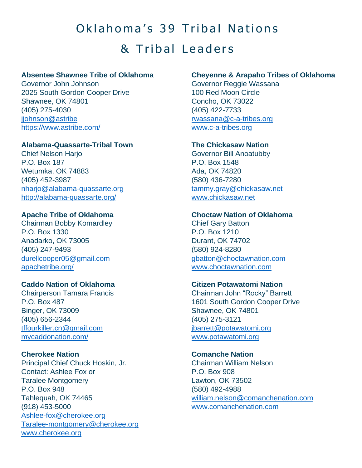# Oklahoma's 39 Tribal Nations & Tribal Leaders

## **Absentee Shawnee Tribe of Oklahoma**

Governor John Johnson 2025 South Gordon Cooper Drive Shawnee, OK 74801 (405) 275-4030 [jjohnson@astribe](mailto:jjohnson@astribe) <https://www.astribe.com/>

## **Alabama-Quassarte-Tribal Town**

Chief Nelson Harjo P.O. Box 187 Wetumka, OK 74883 (405) 452-3987 [nharjo@alabama-quassarte.org](mailto:nharjo@alabama-quassarte.org) <http://alabama-quassarte.org/>

## **Apache Tribe of Oklahoma**

Chairman Bobby Komardley P.O. Box 1330 Anadarko, OK 73005 (405) 247-9493 [durellcooper05@gmail.com](mailto:durellcooper05@gmail.com) [apachetribe.org/](https://apachetribe.org/)

## **Caddo Nation of Oklahoma**

Chairperson Tamara Francis P.O. Box 487 Binger, OK 73009 (405) 656-2344 [tffourkiller.cn@gmail.com](mailto:tffourkiller.cn@gmail.com) [mycaddonation.com/](https://mycaddonation.com/)

**Cherokee Nation** Principal Chief Chuck Hoskin, Jr. Contact: Ashlee Fox or Taralee Montgomery P.O. Box 948 Tahlequah, OK 74465 (918) 453-5000 [Ashlee-fox@cherokee.org](mailto:Ashlee-fox@cherokee.org) Taralee-montgomery@cherokee.org [www.cherokee.org](http://www.cherokee.org/)

## **Cheyenne & Arapaho Tribes of Oklahoma**

Governor Reggie Wassana 100 Red Moon Circle Concho, OK 73022 (405) 422-7733 [rwassana@c-a-tribes.org](mailto:rwassana@c-a-tribes.org) [www.c-a-tribes.org](http://www.c-a-tribes.org/)

# **The Chickasaw Nation**

Governor Bill Anoatubby P.O. Box 1548 Ada, OK 74820 (580) 436-7280 [tammy.gray@chickasaw.net](mailto:tammy.gray@chickasaw.net) [www.chickasaw.net](http://www.chickasaw.net/)

## **Choctaw Nation of Oklahoma**

Chief Gary Batton P.O. Box 1210 Durant, OK 74702 (580) 924-8280 [gbatton@choctawnation.com](mailto:gbatton@choctawnation.com) [www.choctawnation.com](http://www.choctawnation.com/)

## **Citizen Potawatomi Nation**

Chairman John "Rocky" Barrett 1601 South Gordon Cooper Drive Shawnee, OK 74801 (405) 275-3121 [jbarrett@potawatomi.org](mailto:jbarrett@potawatomi.org) [www.potawatomi.org](http://www.potawatomi.org/)

#### **Comanche Nation**

Chairman William Nelson P.O. Box 908 Lawton, OK 73502 (580) 492-4988 [william.nelson@comanchenation.com](mailto:william.nelson@comanchenation.com) [www.comanchenation.com](http://www.comanchenation.com/)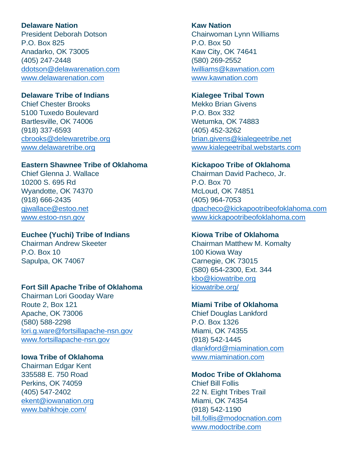## **Delaware Nation**

President Deborah Dotson P.O. Box 825 Anadarko, OK 73005 (405) 247-2448 [ddotson@delawarenation.com](mailto:ddotson@delawarenation.com) [www.delawarenation.com](http://www.delawarenation.com/)

## **Delaware Tribe of Indians**

Chief Chester Brooks 5100 Tuxedo Boulevard Bartlesville, OK 74006 (918) 337-6593 [cbrooks@delewaretribe.org](mailto:cbrooks@delewaretribe.org) [www.delawaretribe.org](http://www.delawaretribe.org/)

# **Eastern Shawnee Tribe of Oklahoma**

Chief Glenna J. Wallace 10200 S. 695 Rd Wyandotte, OK 74370 (918) 666-2435 [gjwallace@estoo.net](mailto:gjwallace@estoo.net) [www.estoo-nsn.gov](http://www.estoo-nsn.gov/)

#### **Euchee (Yuchi) Tribe of Indians**

Chairman Andrew Skeeter P.O. Box 10 Sapulpa, OK 74067

# **Fort Sill Apache Tribe of Oklahoma**

Chairman Lori Gooday Ware Route 2, Box 121 Apache, OK 73006 (580) 588-2298 [lori.g.ware@fortsillapache-nsn.gov](mailto:lori.g.ware@fortsillapache-nsn.gov) [www.fortsillapache-nsn.gov](http://www.fortsillapache-nsn.gov/)

# **Iowa Tribe of Oklahoma**

Chairman Edgar Kent 335588 E. 750 Road Perkins, OK 74059 (405) 547-2402 [ekent@iowanation.org](mailto:ekent@iowanation.org) [www.bahkhoje.com/](https://www.bahkhoje.com/)

#### **Kaw Nation**

Chairwoman Lynn Williams P.O. Box 50 Kaw City, OK 74641 (580) 269-2552 [lwilliams@kawnation.com](mailto:lwilliams@kawnation.com) [www.kawnation.com](http://www.kawnation.com/)

#### **Kialegee Tribal Town**

Mekko Brian Givens P.O. Box 332 Wetumka, OK 74883 (405) 452-3262 [brian.givens@kialegeetribe.net](mailto:brian.givens@kialegeetribe.net) [www.kialegeetribal.webstarts.com](http://www.kialegeetribal.webstarts.com/)

#### **Kickapoo Tribe of Oklahoma**

Chairman David Pacheco, Jr. P.O. Box 70 McLoud, OK 74851 (405) 964-7053 [dpacheco@kickapootribeofoklahoma.com](mailto:dpacheco@kickapootribeofoklahoma.com) [www.kickapootribeofoklahoma.com](http://www.kickapootribeofoklahoma.com/)

#### **Kiowa Tribe of Oklahoma**

Chairman Matthew M. Komalty 100 Kiowa Way Carnegie, OK 73015 (580) 654-2300, Ext. 344 [kbo@kiowatribe.org](mailto:kbo@kiowatribe.org) [kiowatribe.org/](https://kiowatribe.org/)

#### **Miami Tribe of Oklahoma**

Chief Douglas Lankford P.O. Box 1326 Miami, OK 74355 (918) 542-1445 [dlankford@miamination.com](mailto:dlankford@miamination.com) [www.miamination.com](http://www.miamination.com/)

### **Modoc Tribe of Oklahoma**

Chief Bill Follis 22 N. Eight Tribes Trail Miami, OK 74354 (918) 542-1190 [bill.follis@modocnation.com](mailto:bill.follis@modocnation.com) [www.modoctribe.com](http://www.modoctribe.com/)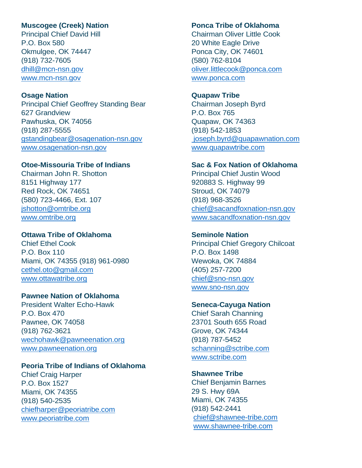## **Muscogee (Creek) Nation**

Principal Chief David Hill P.O. Box 580 Okmulgee, OK 74447 (918) 732-7605 [dhill@mcn-nsn.gov](mailto:dhill@mcn-nsn.gov) [www.mcn-nsn.gov](http://www.mcn-nsn.gov/)

#### **Osage Nation**

Principal Chief Geoffrey Standing Bear 627 Grandview Pawhuska, OK 74056 (918) 287-5555 [gstandingbear@osagenation-nsn.gov](mailto:gstandingbear@osagenation-nsn.gov) [www.osagenation-nsn.gov](http://www.osagenation-nsn.gov/)

## **Otoe-Missouria Tribe of Indians**

Chairman John R. Shotton 8151 Highway 177 Red Rock, OK 74651 (580) 723-4466, Ext. 107 [jshotton@omtribe.org](mailto:jshotton@omtribe.org) [www.omtribe.org](http://www.omtribe.org/)

#### **Ottawa Tribe of Oklahoma**

Chief Ethel Cook P.O. Box 110 Miami, OK 74355 (918) 961-0980 [cethel.oto@gmail.com](mailto:cethel.oto@gmail.com) [www.ottawatribe.org](http://www.ottawatribe.org/)

#### **Pawnee Nation of Oklahoma**

President Walter Echo-Hawk P.O. Box 470 Pawnee, OK 74058 (918) 762-3621 [wechohawk@pawneenation.org](mailto:wechohawk@pawneenation.org) [www.pawneenation.org](http://www.pawneenation.org/)

#### **Peoria Tribe of Indians of Oklahoma**

Chief Craig Harper P.O. Box 1527 Miami, OK 74355 (918) 540-2535 [chiefharper@peoriatribe.com](mailto:chiefharper@peoriatribe.com) [www.peoriatribe.com](http://www.peoriatribe.com/)

#### **Ponca Tribe of Oklahoma**

Chairman Oliver Little Cook 20 White Eagle Drive Ponca City, OK 74601 (580) 762-8104 [oliver.littlecook@ponca.com](mailto:oliver.littlecook@ponca.com) [www.ponca.com](http://www.ponca.com/)

#### **Quapaw Tribe**

Chairman Joseph Byrd P.O. Box 765 Quapaw, OK 74363 (918) 542-1853 [joseph.byrd@quapawnation.com](mailto:%20joseph.byrd@quapawnation.com) [www.quapawtribe.com](http://www.quapawtribe.com/)

#### **Sac & Fox Nation of Oklahoma**

Principal Chief Justin Wood 920883 S. Highway 99 Stroud, OK 74079 (918) 968-3526 [chief@sacandfoxnation-nsn.gov](mailto:chief@sacandfoxnation-nsn.gov) [www.sacandfoxnation-nsn.gov](http://www.sacandfoxnation-nsn.gov/)

#### **Seminole Nation**

Principal Chief Gregory Chilcoat P.O. Box 1498 Wewoka, OK 74884 (405) 257-7200 [chief@sno-nsn.gov](mailto:chief@sno-nsn.gov) [www.sno-nsn.gov](http://www.sno-nsn.gov/)

#### **Seneca-Cayuga Nation**

Chief Sarah Channing 23701 South 655 Road Grove, OK 74344 (918) 787-5452 [schanning@sctribe.com](mailto:schanning@sctribe.com)  [www.sctribe.com](http://www.sctribe.com/)

#### **Shawnee Tribe**

Chief Benjamin Barnes 29 S. Hwy 69A Miami, OK 74355 (918) 542-2441 [chief@shawnee-tribe.com](mailto:chief@shawnee-tribe.com) [www.shawnee-tribe.com](http://www.shawnee-tribe.com/)